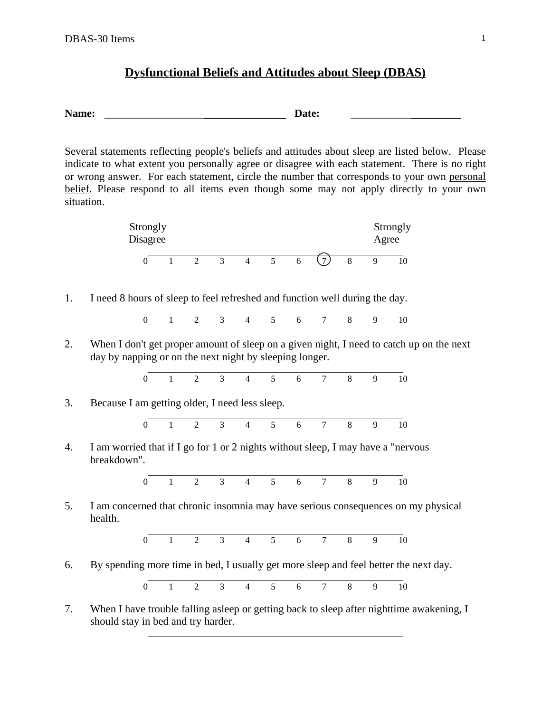## **Dysfunctional Beliefs and Attitudes about Sleep (DBAS)**

Name: Date:

Several statements reflecting people's beliefs and attitudes about sleep are listed below. Please indicate to what extent you personally agree or disagree with each statement. There is no right or wrong answer. For each statement, circle the number that corresponds to your own personal belief. Please respond to all items even though some may not apply directly to your own situation.



1. I need 8 hours of sleep to feel refreshed and function well during the day.

|  |  |  |  | 0 1 2 3 4 5 6 7 8 9 10 |  |
|--|--|--|--|------------------------|--|

2. When I don't get proper amount of sleep on a given night, I need to catch up on the next day by napping or on the next night by sleeping longer.

$$
\begin{array}{cccccccc}\n0 & 1 & 2 & 3 & 4 & 5 & 6 & 7 & 8 & 9 & 10\n\end{array}
$$

3. Because I am getting older, I need less sleep.

 $\overline{a}$ 



4. I am worried that if I go for 1 or 2 nights without sleep, I may have a "nervous breakdown".

$$
\begin{array}{cccccccc}\n0 & 1 & 2 & 3 & 4 & 5 & 6 & 7 & 8 & 9 & 10\n\end{array}
$$

5. I am concerned that chronic insomnia may have serious consequences on my physical health.

$$
\begin{array}{cccccccc}\n0 & 1 & 2 & 3 & 4 & 5 & 6 & 7 & 8 & 9 & 10\n\end{array}
$$

6. By spending more time in bed, I usually get more sleep and feel better the next day.

 $\overline{0}$ 0 1 2 3 4 5 6 7 8 9 10

7. When I have trouble falling asleep or getting back to sleep after nighttime awakening, I should stay in bed and try harder.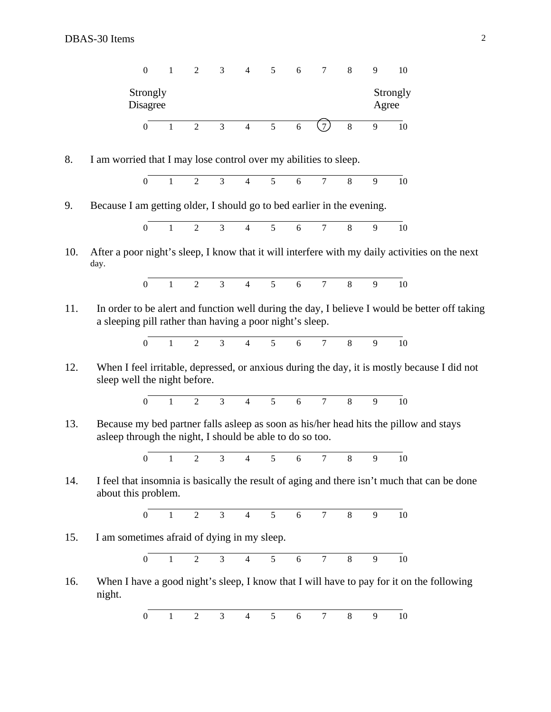

8. I am worried that I may lose control over my abilities to sleep.



9. Because I am getting older, I should go to bed earlier in the evening.



10. After a poor night's sleep, I know that it will interfere with my daily activities on the next day.

$$
\begin{array}{cccccccc}\n0 & 1 & 2 & 3 & 4 & 5 & 6 & 7 & 8 & 9 & 10\n\end{array}
$$

11. In order to be alert and function well during the day, I believe I would be better off taking a sleeping pill rather than having a poor night's sleep.

> $\overline{0}$ 0 1 2 3 4 5 6 7 8 9 10

12. When I feel irritable, depressed, or anxious during the day, it is mostly because I did not sleep well the night before.

$$
\begin{array}{cccccccc}\n0 & 1 & 2 & 3 & 4 & 5 & 6 & 7 & 8 & 9 & 10\n\end{array}
$$

13. Because my bed partner falls asleep as soon as his/her head hits the pillow and stays asleep through the night, I should be able to do so too.

> $\overline{0}$ 0 1 2 3 4 5 6 7 8 9 10

14. I feel that insomnia is basically the result of aging and there isn't much that can be done about this problem.

$$
\begin{array}{cccccccc}\n0 & 1 & 2 & 3 & 4 & 5 & 6 & 7 & 8 & 9 & 10\n\end{array}
$$

15. I am sometimes afraid of dying in my sleep.



16. When I have a good night's sleep, I know that I will have to pay for it on the following night.

> $\overline{a}$ 0 1 2 3 4 5 6 7 8 9 10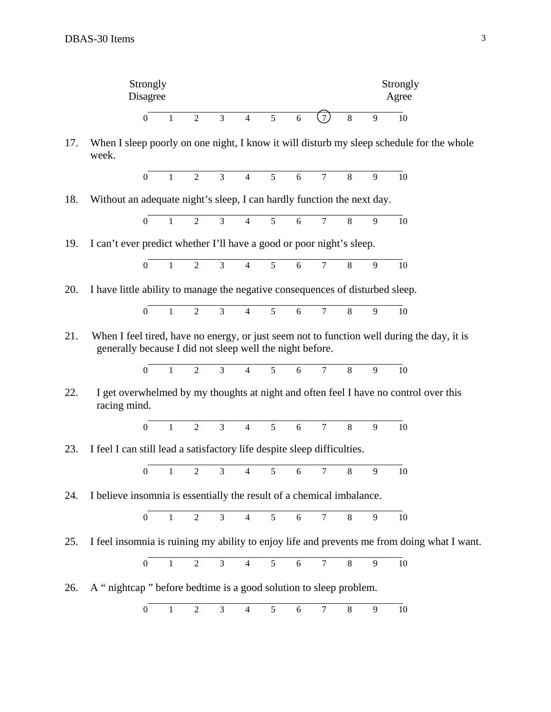